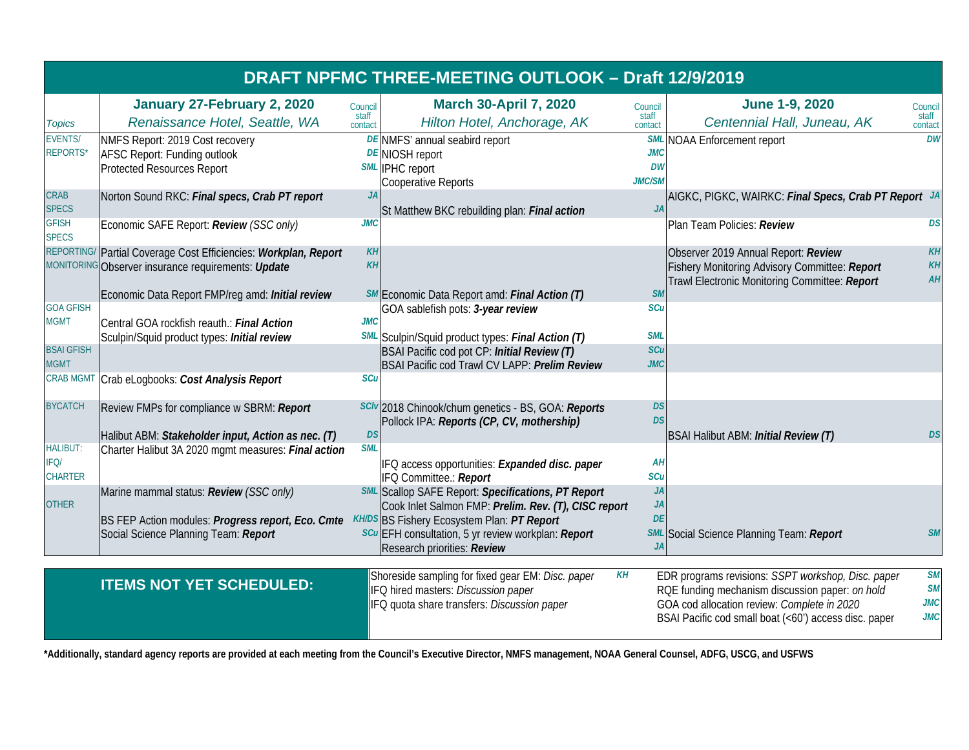| DRAFT NPFMC THREE-MEETING OUTLOOK - Draft 12/9/2019 |                                                                                                             |                             |                                                                                                                                               |                                   |                                                                                                                                                                                                               |                                                    |
|-----------------------------------------------------|-------------------------------------------------------------------------------------------------------------|-----------------------------|-----------------------------------------------------------------------------------------------------------------------------------------------|-----------------------------------|---------------------------------------------------------------------------------------------------------------------------------------------------------------------------------------------------------------|----------------------------------------------------|
| <b>Topics</b>                                       | January 27-February 2, 2020<br>Renaissance Hotel, Seattle, WA                                               | Council<br>staff<br>contact | <b>March 30-April 7, 2020</b><br>Hilton Hotel, Anchorage, AK                                                                                  | Council<br>staff<br>contact       | <b>June 1-9, 2020</b><br>Centennial Hall, Juneau, AK                                                                                                                                                          | Council<br>staff<br>contact                        |
| <b>EVENTS/</b><br>REPORTS*                          | NMFS Report: 2019 Cost recovery<br><b>AFSC Report: Funding outlook</b><br><b>Protected Resources Report</b> |                             | DE NMFS' annual seabird report<br><b>DE</b> NIOSH report<br><b>SML</b> IPHC report<br><b>Cooperative Reports</b>                              | <b>JMC</b><br><b>DW</b><br>JMC/SN | <b>SML</b> NOAA Enforcement report                                                                                                                                                                            | <b>DW</b>                                          |
| CRAB<br><b>SPECS</b>                                | Norton Sound RKC: Final specs, Crab PT report                                                               | JA                          | St Matthew BKC rebuilding plan: Final action                                                                                                  | JA                                | AIGKC, PIGKC, WAIRKC: Final Specs, Crab PT Report JA                                                                                                                                                          |                                                    |
| <b>GFISH</b><br><b>SPECS</b>                        | Economic SAFE Report: Review (SSC only)                                                                     | <b>JMC</b>                  |                                                                                                                                               |                                   | Plan Team Policies: Review                                                                                                                                                                                    | DS                                                 |
| <b>REPORTING</b><br><b>MONITORING</b>               | Partial Coverage Cost Efficiencies: Workplan, Report<br><b>Observer insurance requirements: Update</b>      | KH<br>KH                    |                                                                                                                                               |                                   | Observer 2019 Annual Report: Review<br>Fishery Monitoring Advisory Committee: Report<br>Trawl Electronic Monitoring Committee: Report                                                                         | <b>KH</b><br>KH<br>AH                              |
| <b>GOA GFISH</b>                                    | Economic Data Report FMP/reg amd: Initial review                                                            |                             | SM Economic Data Report amd: Final Action (T)<br>GOA sablefish pots: 3-year review                                                            | <b>SM</b><br>SCL                  |                                                                                                                                                                                                               |                                                    |
| <b>MGMT</b><br><b>BSAI GFISH</b>                    | Central GOA rockfish reauth.: Final Action<br>Sculpin/Squid product types: Initial review                   | <b>JMC</b>                  | SML Sculpin/Squid product types: Final Action (T)<br>BSAI Pacific cod pot CP: Initial Review (T)                                              | <b>SMI</b><br>SCL                 |                                                                                                                                                                                                               |                                                    |
| <b>MGMT</b><br><b>CRAB MGMT</b>                     | Crab eLogbooks: Cost Analysis Report                                                                        | SCu                         | BSAI Pacific cod Trawl CV LAPP: Prelim Review                                                                                                 | <b>JMC</b>                        |                                                                                                                                                                                                               |                                                    |
| <b>BYCATCH</b>                                      | Review FMPs for compliance w SBRM: Report                                                                   |                             | SCIV 2018 Chinook/chum genetics - BS, GOA: Reports                                                                                            | <b>DS</b>                         |                                                                                                                                                                                                               |                                                    |
|                                                     | Halibut ABM: Stakeholder input, Action as nec. (T)                                                          | <b>DS</b>                   | Pollock IPA: Reports (CP, CV, mothership)                                                                                                     | <b>DS</b>                         | BSAI Halibut ABM: Initial Review (T)                                                                                                                                                                          | <b>DS</b>                                          |
| <b>HALIBUT:</b><br>IFQ/<br><b>CHARTER</b>           | Charter Halibut 3A 2020 mgmt measures: Final action                                                         | <b>SML</b>                  | IFQ access opportunities: Expanded disc. paper<br>IFQ Committee.: Report                                                                      | Aŀ<br>SCL                         |                                                                                                                                                                                                               |                                                    |
| <b>OTHER</b>                                        | Marine mammal status: Review (SSC only)                                                                     |                             | <b>SML</b> Scallop SAFE Report: Specifications, PT Report<br>Cook Inlet Salmon FMP: Prelim. Rev. (T), CISC report                             | JA<br><b>JA</b>                   |                                                                                                                                                                                                               |                                                    |
|                                                     | BS FEP Action modules: Progress report, Eco. Cmte<br>Social Science Planning Team: Report                   |                             | <b>KH/DS BS Fishery Ecosystem Plan: PT Report</b><br>scu EFH consultation, 5 yr review workplan: Report<br>Research priorities: Review        | DE                                | <b>SML</b> Social Science Planning Team: Report                                                                                                                                                               | <b>SM</b>                                          |
|                                                     | <b>ITEMS NOT YET SCHEDULED:</b>                                                                             |                             | KH<br>Shoreside sampling for fixed gear EM: Disc. paper<br>IFQ hired masters: Discussion paper<br>IFQ quota share transfers: Discussion paper |                                   | EDR programs revisions: SSPT workshop, Disc. paper<br>RQE funding mechanism discussion paper: on hold<br>GOA cod allocation review: Complete in 2020<br>BSAI Pacific cod small boat (<60') access disc. paper | <b>SM</b><br><b>SM</b><br><b>JMC</b><br><b>JMC</b> |

**\*Additionally, standard agency reports are provided at each meeting from the Council's Executive Director, NMFS management, NOAA General Counsel, ADFG, USCG, and USFWS**